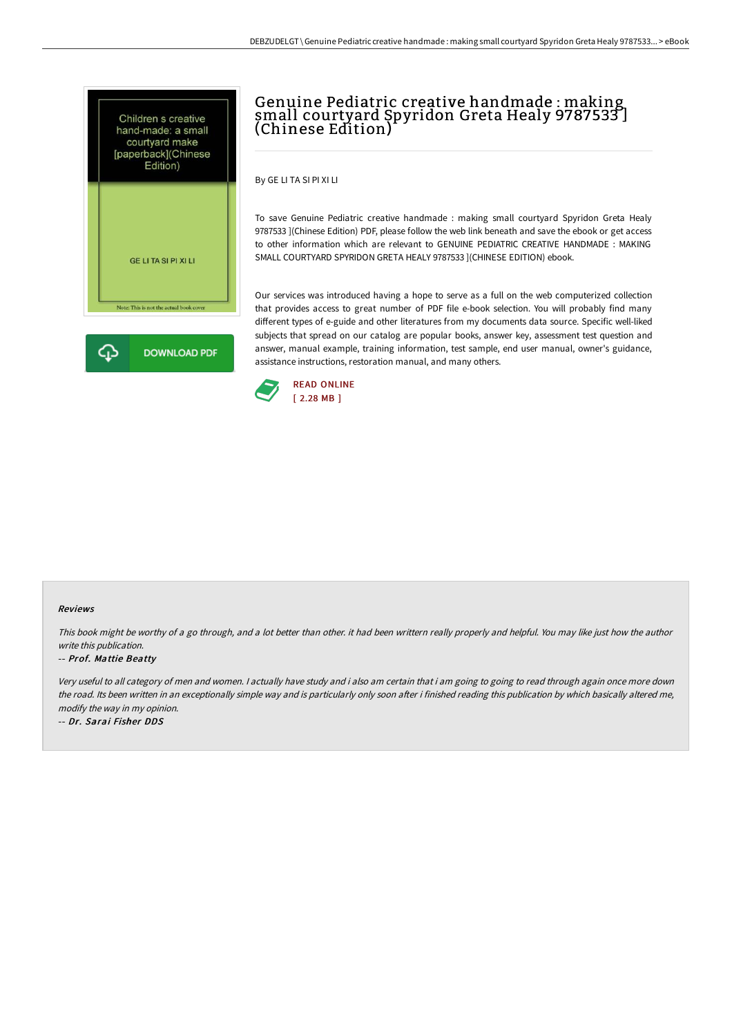



# Genuine Pediatric creative handmade : making small courtyard Spyridon Greta Healy 9787533 ] (Chinese Edition)

By GE LI TA SI PI XI LI

To save Genuine Pediatric creative handmade : making small courtyard Spyridon Greta Healy 9787533 ](Chinese Edition) PDF, please follow the web link beneath and save the ebook or get access to other information which are relevant to GENUINE PEDIATRIC CREATIVE HANDMADE : MAKING SMALL COURTYARD SPYRIDON GRETA HEALY 9787533 ](CHINESE EDITION) ebook.

Our services was introduced having a hope to serve as a full on the web computerized collection that provides access to great number of PDF file e-book selection. You will probably find many different types of e-guide and other literatures from my documents data source. Specific well-liked subjects that spread on our catalog are popular books, answer key, assessment test question and answer, manual example, training information, test sample, end user manual, owner's guidance, assistance instructions, restoration manual, and many others.



#### Reviews

This book might be worthy of a go through, and a lot better than other. it had been writtern really properly and helpful. You may like just how the author write this publication.

#### -- Prof. Mattie Beatty

Very useful to all category of men and women. <sup>I</sup> actually have study and i also am certain that i am going to going to read through again once more down the road. Its been written in an exceptionally simple way and is particularly only soon after i finished reading this publication by which basically altered me, modify the way in my opinion.

-- Dr. Sarai Fisher DDS